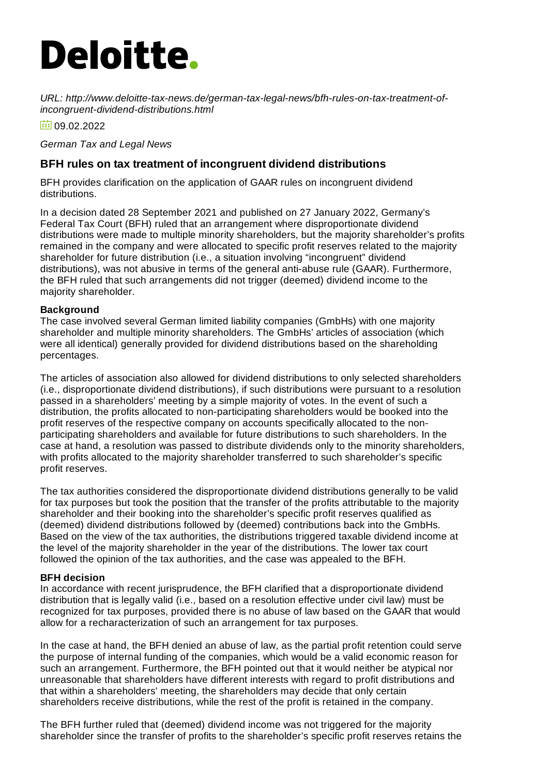# **Deloitte.**

*URL: http://www.deloitte-tax-news.de/german-tax-legal-news/bfh-rules-on-tax-treatment-ofincongruent-dividend-distributions.html*

 $\frac{1}{100}$  09.02.2022

*German Tax and Legal News*

## **BFH rules on tax treatment of incongruent dividend distributions**

BFH provides clarification on the application of GAAR rules on incongruent dividend distributions.

In a decision dated 28 September 2021 and published on 27 January 2022, Germany's Federal Tax Court (BFH) ruled that an arrangement where disproportionate dividend distributions were made to multiple minority shareholders, but the majority shareholder's profits remained in the company and were allocated to specific profit reserves related to the majority shareholder for future distribution (i.e., a situation involving "incongruent" dividend distributions), was not abusive in terms of the general anti-abuse rule (GAAR). Furthermore, the BFH ruled that such arrangements did not trigger (deemed) dividend income to the majority shareholder.

### **Background**

The case involved several German limited liability companies (GmbHs) with one majority shareholder and multiple minority shareholders. The GmbHs' articles of association (which were all identical) generally provided for dividend distributions based on the shareholding percentages.

The articles of association also allowed for dividend distributions to only selected shareholders (i.e., disproportionate dividend distributions), if such distributions were pursuant to a resolution passed in a shareholders' meeting by a simple majority of votes. In the event of such a distribution, the profits allocated to non-participating shareholders would be booked into the profit reserves of the respective company on accounts specifically allocated to the nonparticipating shareholders and available for future distributions to such shareholders. In the case at hand, a resolution was passed to distribute dividends only to the minority shareholders, with profits allocated to the majority shareholder transferred to such shareholder's specific profit reserves.

The tax authorities considered the disproportionate dividend distributions generally to be valid for tax purposes but took the position that the transfer of the profits attributable to the majority shareholder and their booking into the shareholder's specific profit reserves qualified as (deemed) dividend distributions followed by (deemed) contributions back into the GmbHs. Based on the view of the tax authorities, the distributions triggered taxable dividend income at the level of the majority shareholder in the year of the distributions. The lower tax court followed the opinion of the tax authorities, and the case was appealed to the BFH.

### **BFH decision**

In accordance with recent jurisprudence, the BFH clarified that a disproportionate dividend distribution that is legally valid (i.e., based on a resolution effective under civil law) must be recognized for tax purposes, provided there is no abuse of law based on the GAAR that would allow for a recharacterization of such an arrangement for tax purposes.

In the case at hand, the BFH denied an abuse of law, as the partial profit retention could serve the purpose of internal funding of the companies, which would be a valid economic reason for such an arrangement. Furthermore, the BFH pointed out that it would neither be atypical nor unreasonable that shareholders have different interests with regard to profit distributions and that within a shareholders' meeting, the shareholders may decide that only certain shareholders receive distributions, while the rest of the profit is retained in the company.

The BFH further ruled that (deemed) dividend income was not triggered for the majority shareholder since the transfer of profits to the shareholder's specific profit reserves retains the